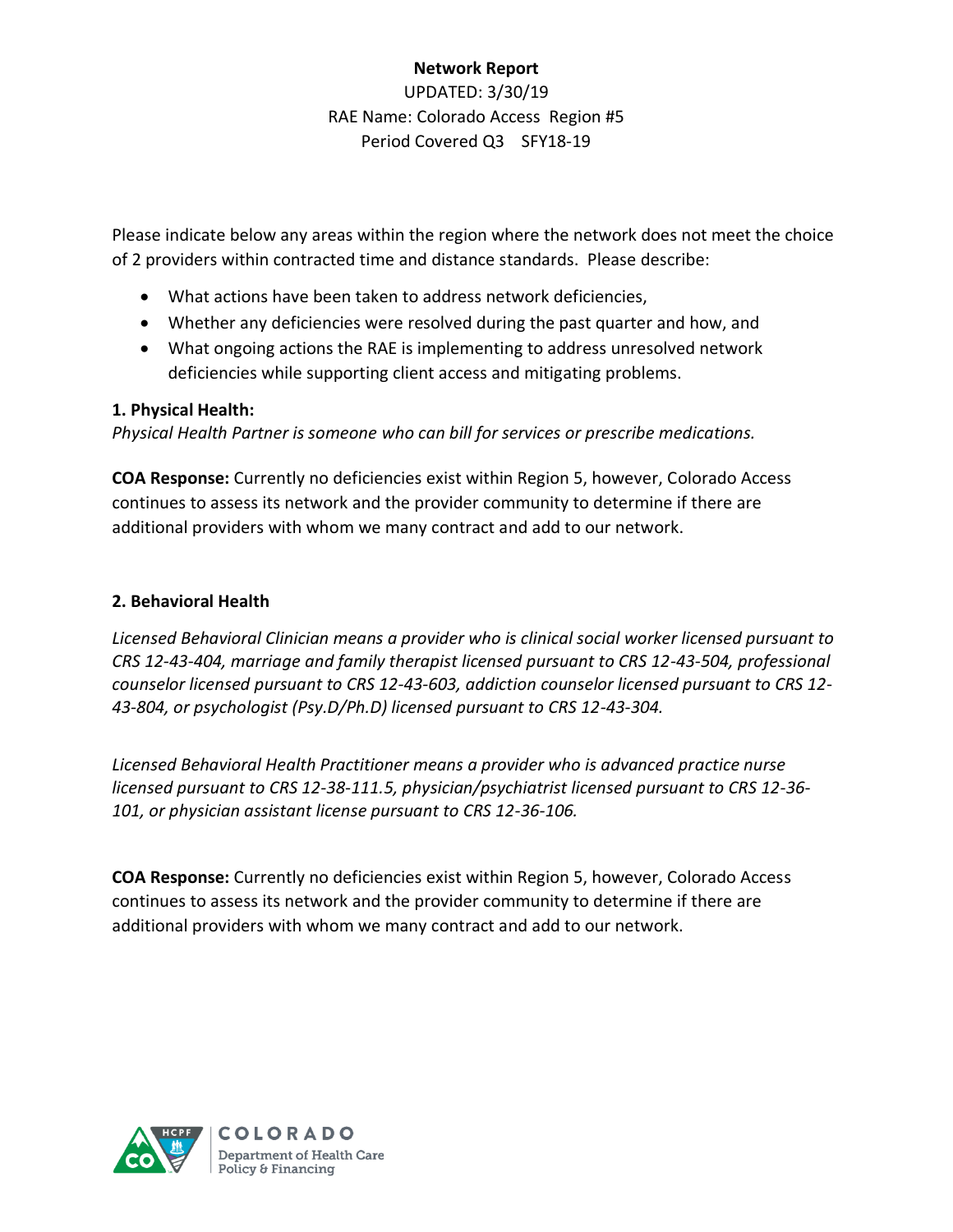# **Network Report** UPDATED: 3/30/19 RAE Name: Colorado Access Region #5 Period Covered Q3 SFY18-19

Please indicate below any areas within the region where the network does not meet the choice of 2 providers within contracted time and distance standards. Please describe:

- What actions have been taken to address network deficiencies,
- Whether any deficiencies were resolved during the past quarter and how, and
- What ongoing actions the RAE is implementing to address unresolved network deficiencies while supporting client access and mitigating problems.

# **1. Physical Health:**

*Physical Health Partner is someone who can bill for services or prescribe medications.*

**COA Response:** Currently no deficiencies exist within Region 5, however, Colorado Access continues to assess its network and the provider community to determine if there are additional providers with whom we many contract and add to our network.

# **2. Behavioral Health**

*Licensed Behavioral Clinician means a provider who is clinical social worker licensed pursuant to CRS 12-43-404, marriage and family therapist licensed pursuant to CRS 12-43-504, professional counselor licensed pursuant to CRS 12-43-603, addiction counselor licensed pursuant to CRS 12- 43-804, or psychologist (Psy.D/Ph.D) licensed pursuant to CRS 12-43-304.*

*Licensed Behavioral Health Practitioner means a provider who is advanced practice nurse licensed pursuant to CRS 12-38-111.5, physician/psychiatrist licensed pursuant to CRS 12-36- 101, or physician assistant license pursuant to CRS 12-36-106.*

**COA Response:** Currently no deficiencies exist within Region 5, however, Colorado Access continues to assess its network and the provider community to determine if there are additional providers with whom we many contract and add to our network.

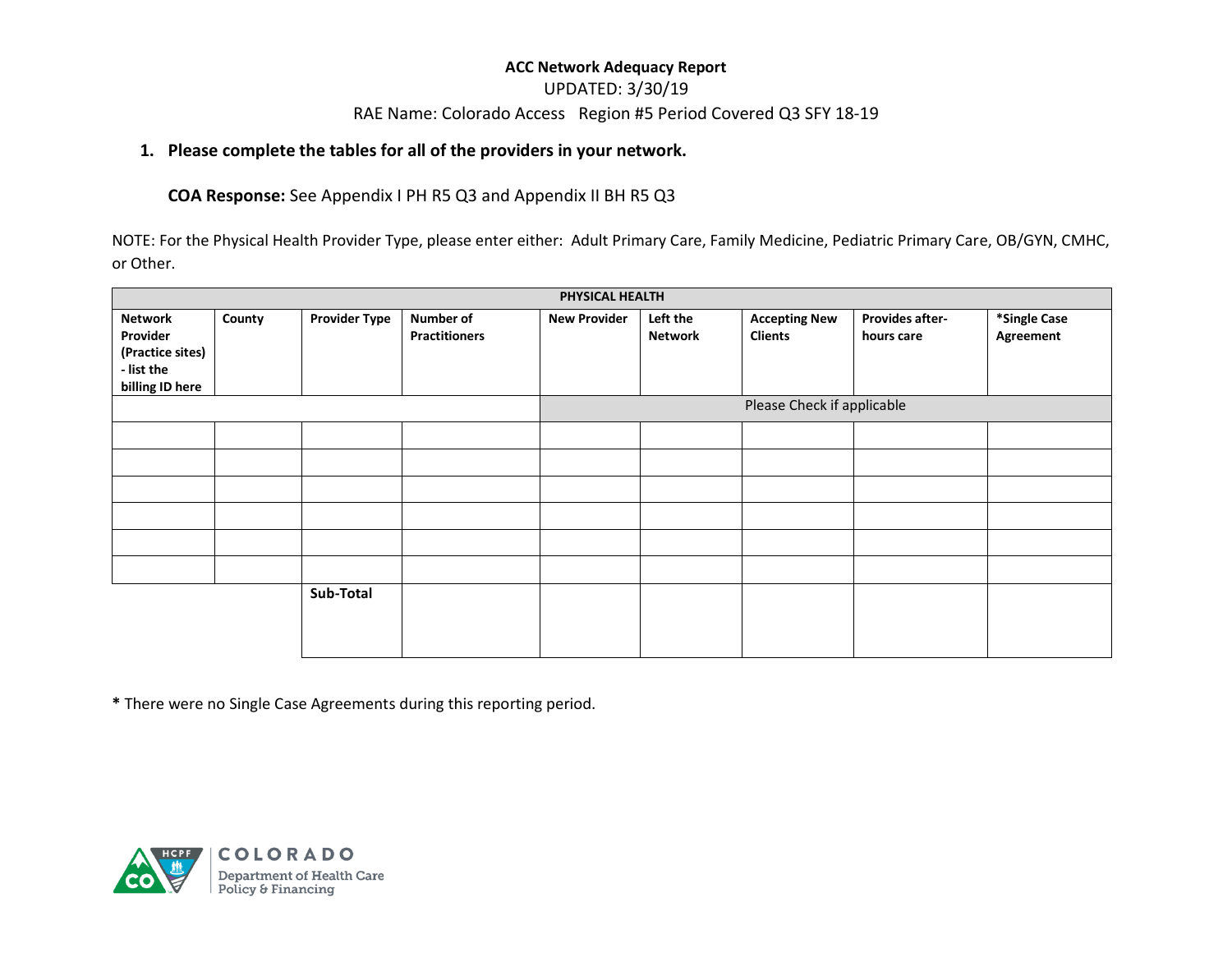### UPDATED: 3/30/19

### RAE Name: Colorado Access Region #5 Period Covered Q3 SFY 18-19

### **1. Please complete the tables for all of the providers in your network.**

### **COA Response:** See Appendix I PH R5 Q3 and Appendix II BH R5 Q3

NOTE: For the Physical Health Provider Type, please enter either: Adult Primary Care, Family Medicine, Pediatric Primary Care, OB/GYN, CMHC, or Other.

|                                                                                 |        |                      |                                          | PHYSICAL HEALTH            |                            |                                        |                                      |                           |
|---------------------------------------------------------------------------------|--------|----------------------|------------------------------------------|----------------------------|----------------------------|----------------------------------------|--------------------------------------|---------------------------|
| <b>Network</b><br>Provider<br>(Practice sites)<br>- list the<br>billing ID here | County | <b>Provider Type</b> | <b>Number of</b><br><b>Practitioners</b> | <b>New Provider</b>        | Left the<br><b>Network</b> | <b>Accepting New</b><br><b>Clients</b> | <b>Provides after-</b><br>hours care | *Single Case<br>Agreement |
|                                                                                 |        |                      |                                          | Please Check if applicable |                            |                                        |                                      |                           |
|                                                                                 |        |                      |                                          |                            |                            |                                        |                                      |                           |
|                                                                                 |        |                      |                                          |                            |                            |                                        |                                      |                           |
|                                                                                 |        |                      |                                          |                            |                            |                                        |                                      |                           |
|                                                                                 |        |                      |                                          |                            |                            |                                        |                                      |                           |
|                                                                                 |        |                      |                                          |                            |                            |                                        |                                      |                           |
|                                                                                 |        |                      |                                          |                            |                            |                                        |                                      |                           |
|                                                                                 |        | Sub-Total            |                                          |                            |                            |                                        |                                      |                           |

**\*** There were no Single Case Agreements during this reporting period.

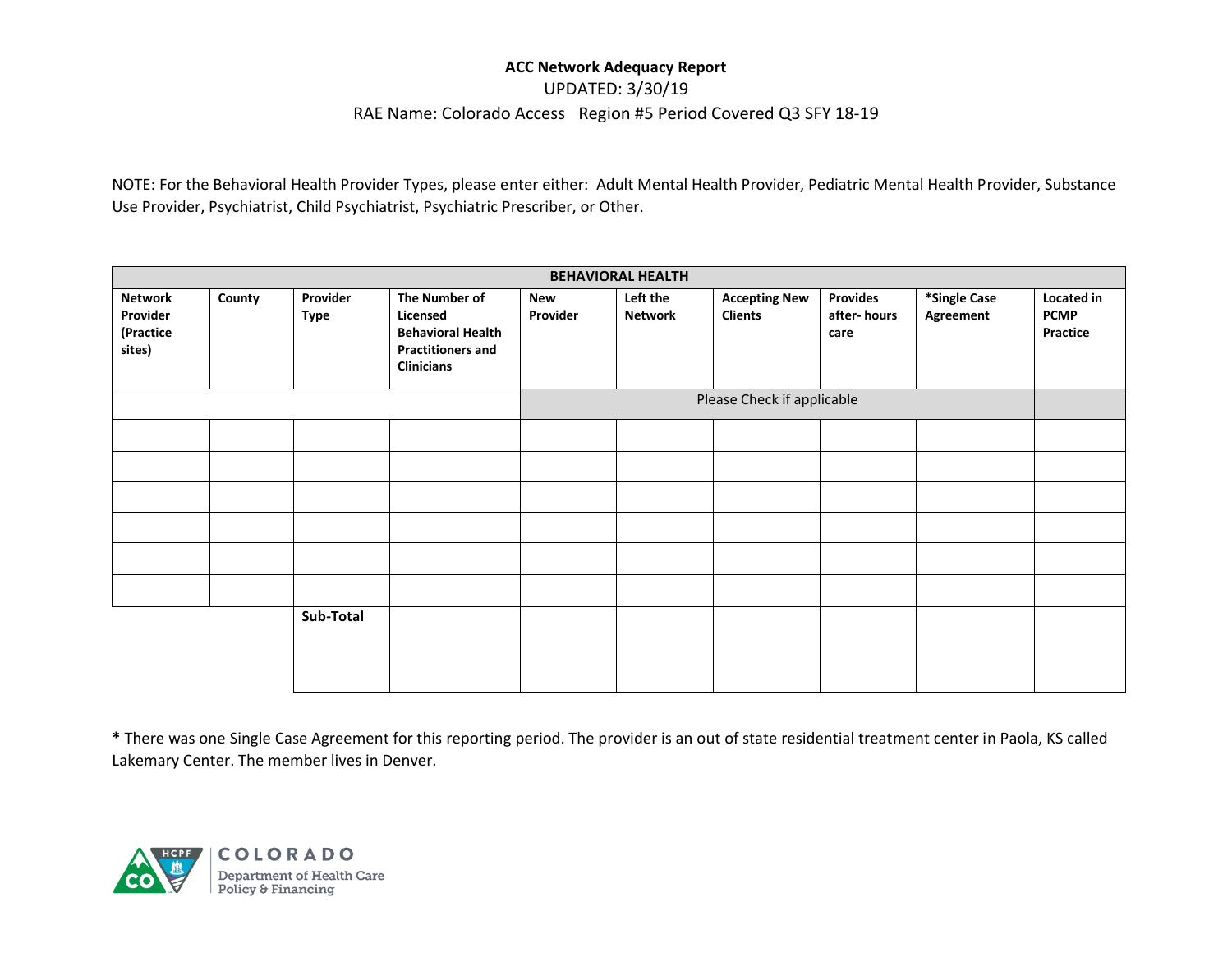UPDATED: 3/30/19

#### RAE Name: Colorado Access Region #5 Period Covered Q3 SFY 18-19

NOTE: For the Behavioral Health Provider Types, please enter either: Adult Mental Health Provider, Pediatric Mental Health Provider, Substance Use Provider, Psychiatrist, Child Psychiatrist, Psychiatric Prescriber, or Other.

| <b>BEHAVIORAL HEALTH</b>                          |        |                         |                                                                                                        |                        |                            |                                        |                                        |                           |                                       |
|---------------------------------------------------|--------|-------------------------|--------------------------------------------------------------------------------------------------------|------------------------|----------------------------|----------------------------------------|----------------------------------------|---------------------------|---------------------------------------|
| <b>Network</b><br>Provider<br>(Practice<br>sites) | County | Provider<br><b>Type</b> | The Number of<br>Licensed<br><b>Behavioral Health</b><br><b>Practitioners and</b><br><b>Clinicians</b> | <b>New</b><br>Provider | Left the<br><b>Network</b> | <b>Accepting New</b><br><b>Clients</b> | <b>Provides</b><br>after-hours<br>care | *Single Case<br>Agreement | Located in<br><b>PCMP</b><br>Practice |
|                                                   |        |                         | Please Check if applicable                                                                             |                        |                            |                                        |                                        |                           |                                       |
|                                                   |        |                         |                                                                                                        |                        |                            |                                        |                                        |                           |                                       |
|                                                   |        |                         |                                                                                                        |                        |                            |                                        |                                        |                           |                                       |
|                                                   |        |                         |                                                                                                        |                        |                            |                                        |                                        |                           |                                       |
|                                                   |        |                         |                                                                                                        |                        |                            |                                        |                                        |                           |                                       |
|                                                   |        |                         |                                                                                                        |                        |                            |                                        |                                        |                           |                                       |
|                                                   |        |                         |                                                                                                        |                        |                            |                                        |                                        |                           |                                       |
|                                                   |        | Sub-Total               |                                                                                                        |                        |                            |                                        |                                        |                           |                                       |

**\*** There was one Single Case Agreement for this reporting period. The provider is an out of state residential treatment center in Paola, KS called Lakemary Center. The member lives in Denver.

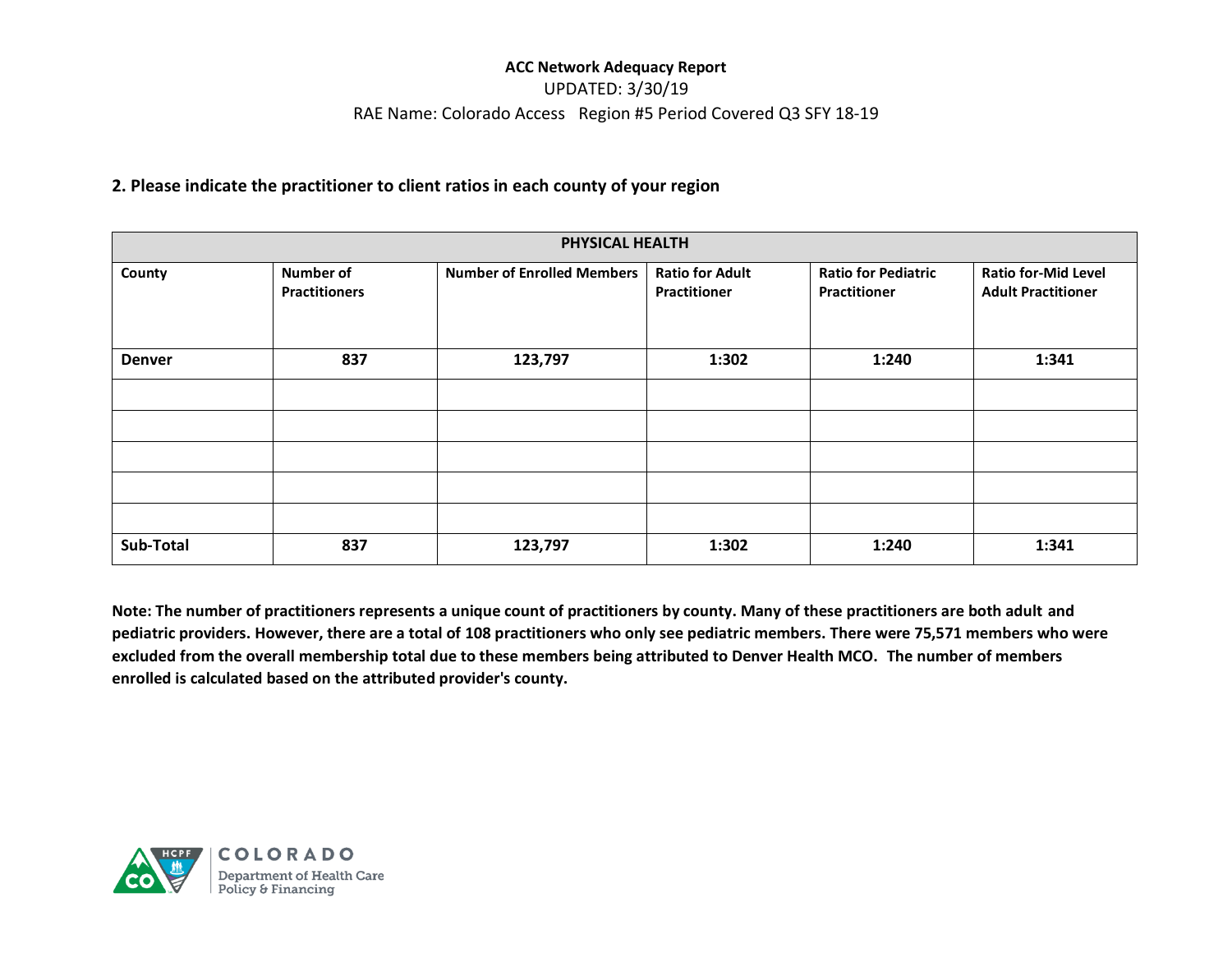# UPDATED: 3/30/19 RAE Name: Colorado Access Region #5 Period Covered Q3 SFY 18-19

### **2. Please indicate the practitioner to client ratios in each county of your region**

| PHYSICAL HEALTH |                                          |                                   |                                        |                                                   |                                                         |  |  |
|-----------------|------------------------------------------|-----------------------------------|----------------------------------------|---------------------------------------------------|---------------------------------------------------------|--|--|
| County          | <b>Number of</b><br><b>Practitioners</b> | <b>Number of Enrolled Members</b> | <b>Ratio for Adult</b><br>Practitioner | <b>Ratio for Pediatric</b><br><b>Practitioner</b> | <b>Ratio for-Mid Level</b><br><b>Adult Practitioner</b> |  |  |
| <b>Denver</b>   | 837                                      | 123,797                           | 1:302                                  | 1:240                                             | 1:341                                                   |  |  |
|                 |                                          |                                   |                                        |                                                   |                                                         |  |  |
|                 |                                          |                                   |                                        |                                                   |                                                         |  |  |
| Sub-Total       | 837                                      | 123,797                           | 1:302                                  | 1:240                                             | 1:341                                                   |  |  |

**Note: The number of practitioners represents a unique count of practitioners by county. Many of these practitioners are both adult and pediatric providers. However, there are a total of 108 practitioners who only see pediatric members. There were 75,571 members who were excluded from the overall membership total due to these members being attributed to Denver Health MCO. The number of members enrolled is calculated based on the attributed provider's county.**